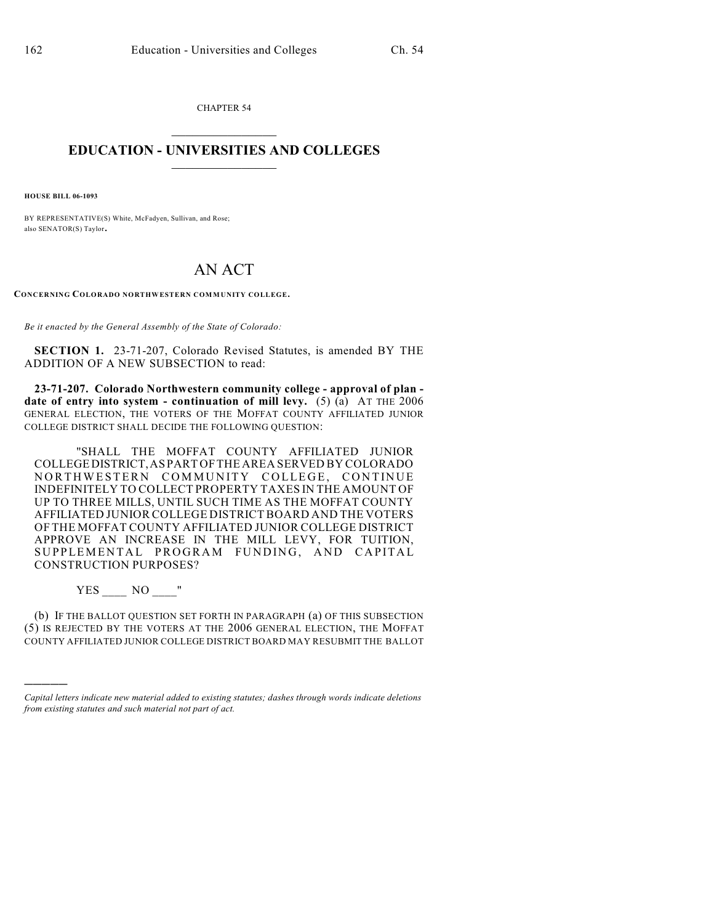CHAPTER 54  $\mathcal{L}_\text{max}$  . The set of the set of the set of the set of the set of the set of the set of the set of the set of the set of the set of the set of the set of the set of the set of the set of the set of the set of the set

## **EDUCATION - UNIVERSITIES AND COLLEGES**  $\_$

**HOUSE BILL 06-1093**

BY REPRESENTATIVE(S) White, McFadyen, Sullivan, and Rose; also SENATOR(S) Taylor.

## AN ACT

**CONCERNING COLORADO NORTHWESTERN COMMUNITY COLLEGE.**

*Be it enacted by the General Assembly of the State of Colorado:*

**SECTION 1.** 23-71-207, Colorado Revised Statutes, is amended BY THE ADDITION OF A NEW SUBSECTION to read:

**23-71-207. Colorado Northwestern community college - approval of plan date of entry into system - continuation of mill levy.** (5) (a) AT THE 2006 GENERAL ELECTION, THE VOTERS OF THE MOFFAT COUNTY AFFILIATED JUNIOR COLLEGE DISTRICT SHALL DECIDE THE FOLLOWING QUESTION:

"SHALL THE MOFFAT COUNTY AFFILIATED JUNIOR COLLEGEDISTRICT,ASPART OFTHE AREA SERVED BY COLORADO NORTHWESTERN COMMUNITY COLLEGE, CONTINUE INDEFINITELY TO COLLECT PROPERTY TAXES IN THE AMOUNT OF UP TO THREE MILLS, UNTIL SUCH TIME AS THE MOFFAT COUNTY AFFILIATED JUNIOR COLLEGE DISTRICT BOARD AND THE VOTERS OF THE MOFFAT COUNTY AFFILIATED JUNIOR COLLEGE DISTRICT APPROVE AN INCREASE IN THE MILL LEVY, FOR TUITION, SUPPLEMENTAL PROGRAM FUNDING, AND CAPITAL CONSTRUCTION PURPOSES?

YES NO "

)))))

(b) IF THE BALLOT QUESTION SET FORTH IN PARAGRAPH (a) OF THIS SUBSECTION (5) IS REJECTED BY THE VOTERS AT THE 2006 GENERAL ELECTION, THE MOFFAT COUNTY AFFILIATED JUNIOR COLLEGE DISTRICT BOARD MAY RESUBMIT THE BALLOT

*Capital letters indicate new material added to existing statutes; dashes through words indicate deletions from existing statutes and such material not part of act.*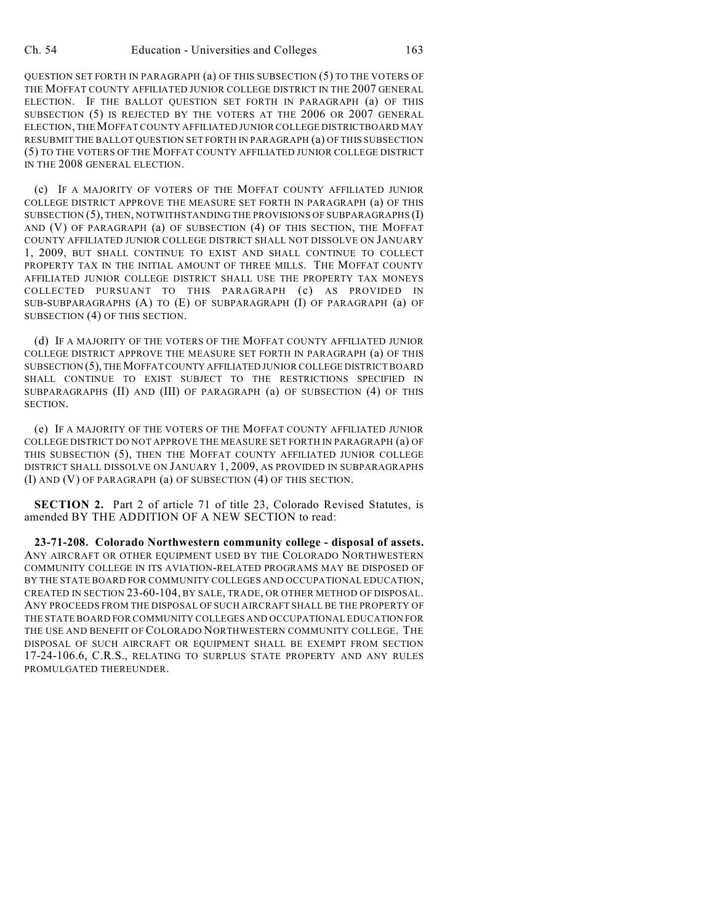QUESTION SET FORTH IN PARAGRAPH (a) OF THIS SUBSECTION (5) TO THE VOTERS OF THE MOFFAT COUNTY AFFILIATED JUNIOR COLLEGE DISTRICT IN THE 2007 GENERAL ELECTION. IF THE BALLOT QUESTION SET FORTH IN PARAGRAPH (a) OF THIS SUBSECTION (5) IS REJECTED BY THE VOTERS AT THE 2006 OR 2007 GENERAL ELECTION, THE MOFFAT COUNTY AFFILIATED JUNIOR COLLEGE DISTRICTBOARD MAY RESUBMIT THE BALLOT QUESTION SET FORTH IN PARAGRAPH (a) OF THIS SUBSECTION (5) TO THE VOTERS OF THE MOFFAT COUNTY AFFILIATED JUNIOR COLLEGE DISTRICT IN THE 2008 GENERAL ELECTION.

(c) IF A MAJORITY OF VOTERS OF THE MOFFAT COUNTY AFFILIATED JUNIOR COLLEGE DISTRICT APPROVE THE MEASURE SET FORTH IN PARAGRAPH (a) OF THIS SUBSECTION (5), THEN, NOTWITHSTANDING THE PROVISIONS OF SUBPARAGRAPHS (I) AND (V) OF PARAGRAPH (a) OF SUBSECTION (4) OF THIS SECTION, THE MOFFAT COUNTY AFFILIATED JUNIOR COLLEGE DISTRICT SHALL NOT DISSOLVE ON JANUARY 1, 2009, BUT SHALL CONTINUE TO EXIST AND SHALL CONTINUE TO COLLECT PROPERTY TAX IN THE INITIAL AMOUNT OF THREE MILLS. THE MOFFAT COUNTY AFFILIATED JUNIOR COLLEGE DISTRICT SHALL USE THE PROPERTY TAX MONEYS COLLECTED PURSUANT TO THIS PARAGRAPH (c) AS PROVIDED IN SUB-SUBPARAGRAPHS (A) TO (E) OF SUBPARAGRAPH (I) OF PARAGRAPH (a) OF SUBSECTION (4) OF THIS SECTION.

(d) IF A MAJORITY OF THE VOTERS OF THE MOFFAT COUNTY AFFILIATED JUNIOR COLLEGE DISTRICT APPROVE THE MEASURE SET FORTH IN PARAGRAPH (a) OF THIS SUBSECTION (5), THE MOFFAT COUNTY AFFILIATED JUNIOR COLLEGE DISTRICT BOARD SHALL CONTINUE TO EXIST SUBJECT TO THE RESTRICTIONS SPECIFIED IN SUBPARAGRAPHS (II) AND (III) OF PARAGRAPH (a) OF SUBSECTION (4) OF THIS SECTION.

(e) IF A MAJORITY OF THE VOTERS OF THE MOFFAT COUNTY AFFILIATED JUNIOR COLLEGE DISTRICT DO NOT APPROVE THE MEASURE SET FORTH IN PARAGRAPH (a) OF THIS SUBSECTION (5), THEN THE MOFFAT COUNTY AFFILIATED JUNIOR COLLEGE DISTRICT SHALL DISSOLVE ON JANUARY 1, 2009, AS PROVIDED IN SUBPARAGRAPHS (I) AND (V) OF PARAGRAPH (a) OF SUBSECTION (4) OF THIS SECTION.

**SECTION 2.** Part 2 of article 71 of title 23, Colorado Revised Statutes, is amended BY THE ADDITION OF A NEW SECTION to read:

**23-71-208. Colorado Northwestern community college - disposal of assets.** ANY AIRCRAFT OR OTHER EQUIPMENT USED BY THE COLORADO NORTHWESTERN COMMUNITY COLLEGE IN ITS AVIATION-RELATED PROGRAMS MAY BE DISPOSED OF BY THE STATE BOARD FOR COMMUNITY COLLEGES AND OCCUPATIONAL EDUCATION, CREATED IN SECTION 23-60-104, BY SALE, TRADE, OR OTHER METHOD OF DISPOSAL. ANY PROCEEDS FROM THE DISPOSAL OF SUCH AIRCRAFT SHALL BE THE PROPERTY OF THE STATE BOARD FOR COMMUNITY COLLEGES AND OCCUPATIONAL EDUCATION FOR THE USE AND BENEFIT OF COLORADO NORTHWESTERN COMMUNITY COLLEGE. THE DISPOSAL OF SUCH AIRCRAFT OR EQUIPMENT SHALL BE EXEMPT FROM SECTION 17-24-106.6, C.R.S., RELATING TO SURPLUS STATE PROPERTY AND ANY RULES PROMULGATED THEREUNDER.